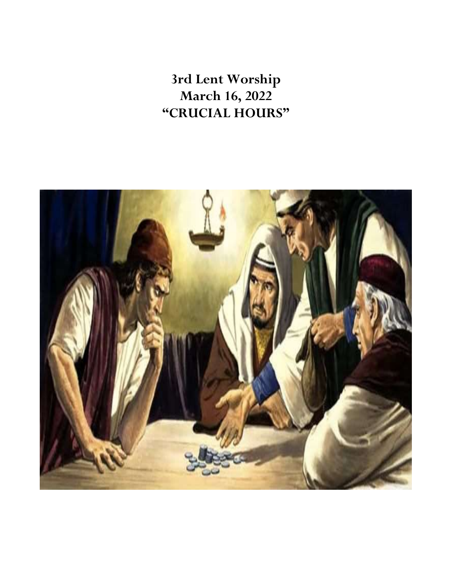**3rd Lent Worship March 16, 2022 "CRUCIAL HOURS"**

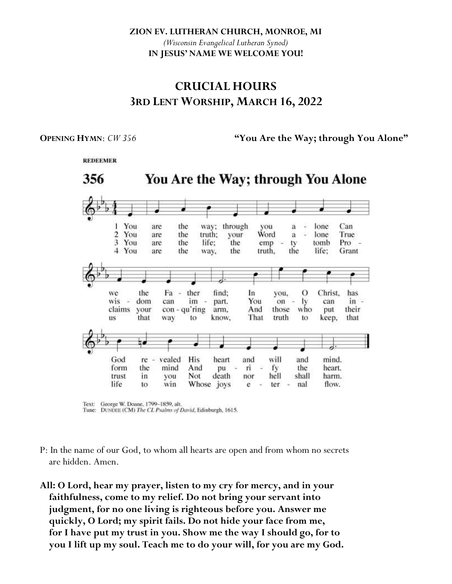**ZION EV. LUTHERAN CHURCH, MONROE, MI**

*(Wisconsin Evangelical Lutheran Synod)* **IN JESUS' NAME WE WELCOME YOU!**

# **CRUCIAL HOURS 3RD LENT WORSHIP, MARCH 16, 2022**

**REDEEMER** 

**OPENING HYMN:**  $CW 356$  **"You Are the Way; through You Alone"** 

You Are the Way; through You Alone 356 1 You are the way; through you lone Can a u  $\overline{2}$ You are the truth: your Word  $\mathbf{a}$ ż lone True 3 You are the life; the emp ty tomb Pro ÷. 4 You are the way, the truth. the life: Grant the ther find:  $\circ$ Christ. we Fa In has vou, ÷ dom  $\mathbf{I}$ wis Ξ can im part. You on  $\sim$ can  $in \overline{\phantom{a}}$ your claims con - qu'ring arm. And those who their put that way to. know. That truth to keep. that **HS** will God  $re$ vealed His heart and and mind. form the mind And pu ri fy the heart. trust Not death hell shall harm. in you nor life Whose joys flow. to. win e ter nal  $\sim$ 

Text: George W. Doane, 1799-1859, alt. Tune: DUNDEE (CM) The CL Psalms of David, Edinburgh, 1615.

- P: In the name of our God, to whom all hearts are open and from whom no secrets are hidden. Amen.
- **All: O Lord, hear my prayer, listen to my cry for mercy, and in your faithfulness, come to my relief. Do not bring your servant into judgment, for no one living is righteous before you. Answer me quickly, O Lord; my spirit fails. Do not hide your face from me, for I have put my trust in you. Show me the way I should go, for to you I lift up my soul. Teach me to do your will, for you are my God.**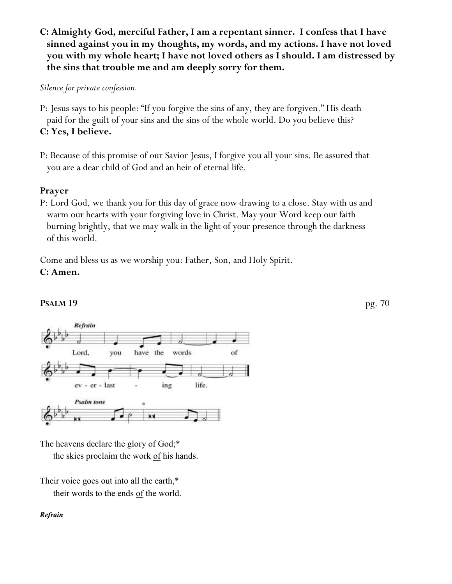**C: Almighty God, merciful Father, I am a repentant sinner. I confess that I have sinned against you in my thoughts, my words, and my actions. I have not loved you with my whole heart; I have not loved others as I should. I am distressed by the sins that trouble me and am deeply sorry for them.**

*Silence for private confession.*

P: Jesus says to his people: "If you forgive the sins of any, they are forgiven." His death paid for the guilt of your sins and the sins of the whole world. Do you believe this? **C: Yes, I believe.**

P: Because of this promise of our Savior Jesus, I forgive you all your sins. Be assured that you are a dear child of God and an heir of eternal life.

# **Prayer**

P: Lord God, we thank you for this day of grace now drawing to a close. Stay with us and warm our hearts with your forgiving love in Christ. May your Word keep our faith burning brightly, that we may walk in the light of your presence through the darkness of this world.

Come and bless us as we worship you: Father, Son, and Holy Spirit. **C: Amen.**



# **PSALM 19** pg. 70

The heavens declare the glory of God;\* the skies proclaim the work of his hands.

Their voice goes out into all the earth,\* their words to the ends of the world.

## *Refrain*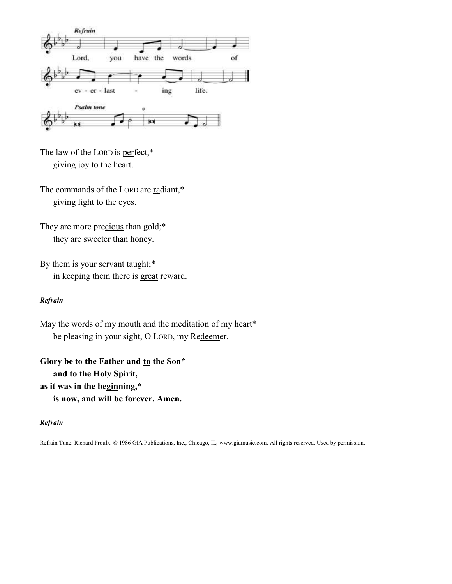

The law of the LORD is perfect,\* giving joy to the heart.

The commands of the LORD are radiant,\* giving light to the eyes.

They are more precious than gold;\* they are sweeter than honey.

By them is your servant taught;\* in keeping them there is great reward.

## *Refrain*

May the words of my mouth and the meditation  $of$  my heart\* be pleasing in your sight, O LORD, my Redeemer.

**Glory be to the Father and to the Son\* and to the Holy Spirit, as it was in the beginning,\* is now, and will be forever. Amen.**

## *Refrain*

Refrain Tune: Richard Proulx. © 1986 GIA Publications, Inc., Chicago, IL, www.giamusic.com. All rights reserved. Used by permission.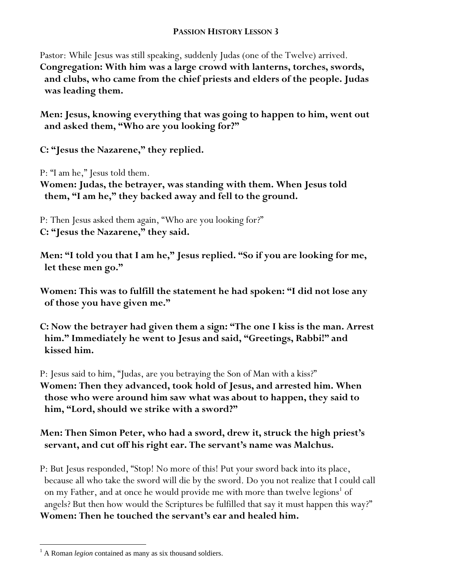# **PASSION HISTORY LESSON 3**

Pastor: While Jesus was still speaking, suddenly Judas (one of the Twelve) arrived. **Congregation: With him was a large crowd with lanterns, torches, swords, and clubs, who came from the chief priests and elders of the people. Judas was leading them.**

**Men: Jesus, knowing everything that was going to happen to him, went out and asked them, "Who are you looking for?"**

**C: "Jesus the Nazarene," they replied.**

P: "I am he," Jesus told them.

**Women: Judas, the betrayer, was standing with them. When Jesus told them, "I am he," they backed away and fell to the ground.**

P: Then Jesus asked them again, "Who are you looking for?" **C: "Jesus the Nazarene," they said.**

**Men: "I told you that I am he," Jesus replied. "So if you are looking for me, let these men go."** 

**Women: This was to fulfill the statement he had spoken: "I did not lose any of those you have given me."**

**C: Now the betrayer had given them a sign: "The one I kiss is the man. Arrest him." Immediately he went to Jesus and said, "Greetings, Rabbi!" and kissed him.**

P: Jesus said to him, "Judas, are you betraying the Son of Man with a kiss?" **Women: Then they advanced, took hold of Jesus, and arrested him. When those who were around him saw what was about to happen, they said to him, "Lord, should we strike with a sword?"** 

**Men: Then Simon Peter, who had a sword, drew it, struck the high priest's servant, and cut off his right ear. The servant's name was Malchus.** 

P: But Jesus responded, "Stop! No more of this! Put your sword back into its place, because all who take the sword will die by the sword. Do you not realize that I could call on my Father, and at once he would provide me with more than twelve legions<sup>1</sup> of angels? But then how would the Scriptures be fulfilled that say it must happen this way?" **Women: Then he touched the servant's ear and healed him.**

 $\overline{a}$ 

<sup>&</sup>lt;sup>1</sup> A Roman *legion* contained as many as six thousand soldiers.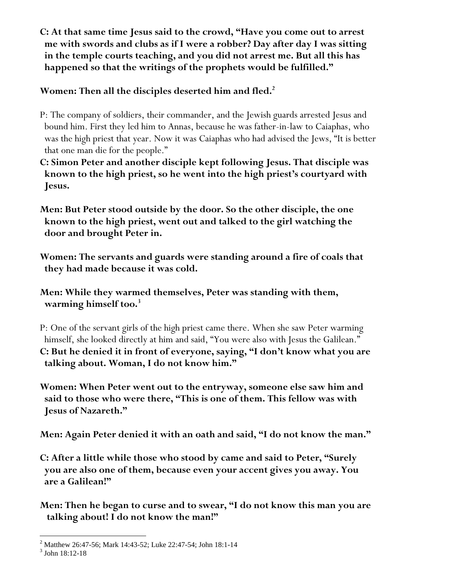**C: At that same time Jesus said to the crowd, "Have you come out to arrest me with swords and clubs as if I were a robber? Day after day I was sitting in the temple courts teaching, and you did not arrest me. But all this has happened so that the writings of the prophets would be fulfilled."**

**Women: Then all the disciples deserted him and fled.<sup>2</sup>**

- P: The company of soldiers, their commander, and the Jewish guards arrested Jesus and bound him. First they led him to Annas, because he was father-in-law to Caiaphas, who was the high priest that year. Now it was Caiaphas who had advised the Jews, "It is better that one man die for the people."
- **C: Simon Peter and another disciple kept following Jesus. That disciple was known to the high priest, so he went into the high priest's courtyard with Jesus.**
- **Men: But Peter stood outside by the door. So the other disciple, the one known to the high priest, went out and talked to the girl watching the door and brought Peter in.**
- **Women: The servants and guards were standing around a fire of coals that they had made because it was cold.**
- **Men: While they warmed themselves, Peter was standing with them, warming himself too.<sup>3</sup>**
- P: One of the servant girls of the high priest came there. When she saw Peter warming himself, she looked directly at him and said, "You were also with Jesus the Galilean." **C: But he denied it in front of everyone, saying, "I don't know what you are talking about. Woman, I do not know him."**
- **Women: When Peter went out to the entryway, someone else saw him and said to those who were there, "This is one of them. This fellow was with Jesus of Nazareth."**

**Men: Again Peter denied it with an oath and said, "I do not know the man."**

**C: After a little while those who stood by came and said to Peter, "Surely you are also one of them, because even your accent gives you away. You are a Galilean!"**

**Men: Then he began to curse and to swear, "I do not know this man you are talking about! I do not know the man!"**

 <sup>2</sup> Matthew 26:47-56; Mark 14:43-52; Luke 22:47-54; John 18:1-14

<sup>3</sup> John 18:12-18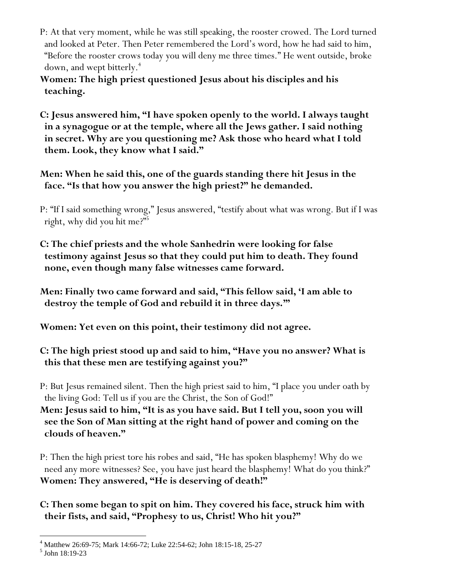- P: At that very moment, while he was still speaking, the rooster crowed. The Lord turned and looked at Peter. Then Peter remembered the Lord's word, how he had said to him, "Before the rooster crows today you will deny me three times." He went outside, broke down, and wept bitterly.<sup> $+$ </sup>
- **Women: The high priest questioned Jesus about his disciples and his teaching.**

**C: Jesus answered him, "I have spoken openly to the world. I always taught in a synagogue or at the temple, where all the Jews gather. I said nothing in secret. Why are you questioning me? Ask those who heard what I told them. Look, they know what I said."**

**Men: When he said this, one of the guards standing there hit Jesus in the face. "Is that how you answer the high priest?" he demanded.**

P: "If I said something wrong," Jesus answered, "testify about what was wrong. But if I was right, why did you hit me?"<sup>5</sup>

**C: The chief priests and the whole Sanhedrin were looking for false testimony against Jesus so that they could put him to death. They found none, even though many false witnesses came forward.** 

**Men: Finally two came forward and said, "This fellow said, 'I am able to destroy the temple of God and rebuild it in three days.'"** 

**Women: Yet even on this point, their testimony did not agree.**

**C: The high priest stood up and said to him, "Have you no answer? What is this that these men are testifying against you?"** 

P: But Jesus remained silent. Then the high priest said to him, "I place you under oath by the living God: Tell us if you are the Christ, the Son of God!"

**Men: Jesus said to him, "It is as you have said. But I tell you, soon you will see the Son of Man sitting at the right hand of power and coming on the clouds of heaven."**

P: Then the high priest tore his robes and said, "He has spoken blasphemy! Why do we need any more witnesses? See, you have just heard the blasphemy! What do you think?" **Women: They answered, "He is deserving of death!"** 

**C: Then some began to spit on him. They covered his face, struck him with their fists, and said, "Prophesy to us, Christ! Who hit you?"**

 <sup>4</sup> Matthew 26:69-75; Mark 14:66-72; Luke 22:54-62; John 18:15-18, 25-27

<sup>5</sup> John 18:19-23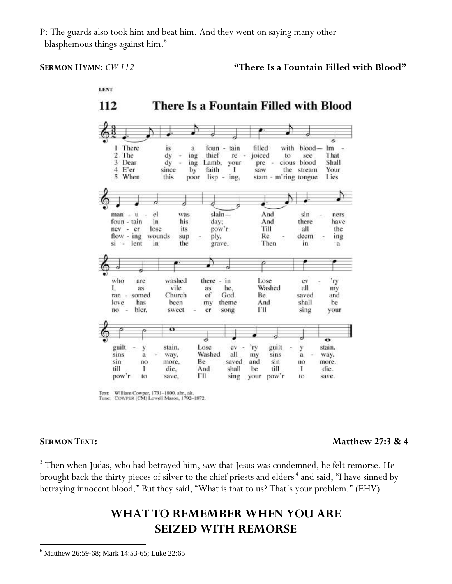P: The guards also took him and beat him. And they went on saying many other blasphemous things against him.<sup>6</sup>

## **SERMON HYMN:**  $CW 112$  **There Is a Fountain Filled with Blood"**



Text: William Cowper, 1731-1800, abr., alt.<br>Tune: COWPER (CM) Lowell Mason, 1792-1872.

 $\overline{a}$ 

# **SERMON TEXT:** Matthew 27:3 & 4

<sup>3</sup> Then when Judas, who had betrayed him, saw that Jesus was condemned, he felt remorse. He brought back the thirty pieces of silver to the chief priests and elders<sup>4</sup> and said, "I have sinned by betraying innocent blood." But they said, "What is that to us? That's your problem." (EHV)

# **WHAT TO REMEMBER WHEN YOU ARE SEIZED WITH REMORSE**

<sup>&</sup>lt;sup>6</sup> Matthew 26:59-68; Mark 14:53-65; Luke 22:65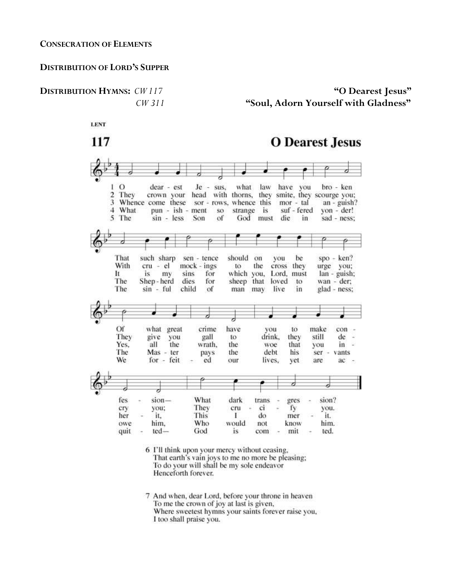### **DISTRIBUTION OF LORD'S SUPPER**

# **DISTRIBUTION HYMNS:** *CW 117* **"O Dearest Jesus"** *CW 311* **"Soul, Adorn Yourself with Gladness"**

**LENT** 

117 **O** Dearest Jesus L  $\Omega$ Je sus. what law have you dear - est bro - ken  $\overline{2}$ They crown your head with thorns, they smite, they scourge you: 3 Whence come these sor - rows, whence this mor - tal  $an - guish?$ 4 What pun - ish - ment so strange is suf - fered yon - der! 5 The sin - less Son of God must die in sad - ness; That such sharp should on be  $spo - ken?$ sen - tence you With cru - el urge you;  $mock -ings$ to the cross they It is my sins for which you, Lord, must lan - guish; The Shep-herd dies sheep that loved for  $\frac{1}{2}$ wan - der; The  $sin - ful$ child of glad - ness: man may live in Of what great crime have to make con vou They give you gall to drink, they still de ÷. Yes. all the wrath. the woe that you in š The Mas - ter pays the debt his ser vants We for - feit ed our lives. yet  $ac$ are d fes What siondark trans gres sion? They ci you; cru fy cry × ç you. This her it. Ι do mer it. Who him. owe him. would not know quit ted-God is com mit ted.  $\sim$ 6 I'll think upon your mercy without ceasing, That earth's vain joys to me no more be pleasing; To do your will shall be my sole endeavor

> 7 And when, dear Lord, before your throne in heaven To me the crown of joy at last is given,

Henceforth forever.

Where sweetest hymns your saints forever raise you, I too shall praise you.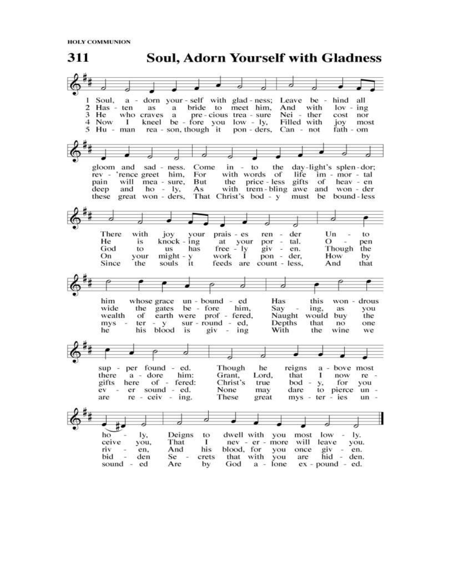**HOLY COMMUNION** 

**Soul, Adorn Yourself with Gladness** 311 a - dorn your - self with glad - ness; Leave be hind all Soul,  $\overline{2}$  $Has - ten$ as a bride to meet him. And with  $lov - ing$ 3 He who craves a pre-cious trea-sure Nei - ther cost nor kneel be - fore you low - ly,<br>rea - son, though it pon - ders  $\mathbf{I}$ Filled with 4 Now joy most 5 Hu - man pon - ders, Can - not fath - om gloom and sad - ness. Come  $in - to$ the day-light's splen-dor; with words of rev - 'rence greet him, For life im - mor - tal the price - less gifts of heav - en<br>with trem - bling awe and won - der mea - sure, But pain will  $ho - ly$ , deep and  $As$ That Christ's bod - y must be bound-less these great won - ders, There Un with joy vour  $prais - es$ ren der to at your<br>free - ly<br>work I  $knock - ing$  $\begin{array}{cc}\n\text{por} & - \\
\text{giv} & -\n\end{array}$ He  $\Omega$ is. tal. pen Though God to **us** has en. the pon - der, On your  $might - y$ How by feeds are count - less. Since the souls  $\mathbf{u}$ And that him whose grace un - bound - ed Has this won - drous the gates be - fore him, you Sav wide ing, as. earth were prof - fered, Naught the wealth of would buy  $\begin{array}{ccc} \text{sur - round} & -\text{ ed,} \\ \text{is} & \text{giv} & -\text{ing} \end{array}$  $mys =$  $ter - y$ Depths that no one his blood With the wine he is we d sup - per found - ed. Though he reigns  $a$ bove most there  $a -$  dore him: Grant. Lord, that T. now  $re$ gifts here of - fered: Christ's  $b$ od for true you y, ev - er sound - ed. None may dare to pierce un  $re - ceiv - ing$ . These great mys - ter - ies are  $un$ d dwell with you ho Deigns  $low - ly.$ ly, most to you, ceive That 1 nev - er - more will leave you. his riv en. And blood, for you once  $giv$ en. that with you bid den  $Se$ crets are hid - den. ex - pound - ed. sound - ed Are by God a - Ione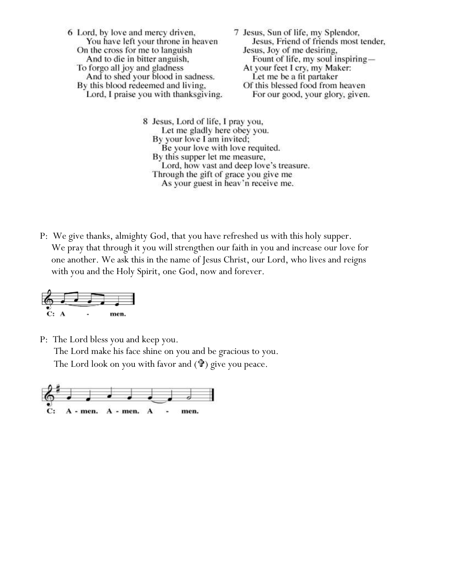6 Lord, by love and mercy driven, 7 Jesus, Sun of life, my Splendor, You have left your throne in heaven Jesus, Friend of friends most tender, On the cross for me to languish Jesus, Joy of me desiring, And to die in bitter anguish, Fount of life, my soul inspiring— At your feet I cry, my Maker: To forgo all joy and gladness Let me be a fit partaker And to shed your blood in sadness. By this blood redeemed and living, Of this blessed food from heaven Lord, I praise you with thanksgiving. For our good, your glory, given.

> 8 Jesus, Lord of life, I pray you, Let me gladly here obey you. By your love I am invited; Be your love with love requited. By this supper let me measure, Lord, how vast and deep love's treasure. Through the gift of grace you give me As your guest in heav'n receive me.

P:We give thanks, almighty God, that you have refreshed us with this holy supper. We pray that through it you will strengthen our faith in you and increase our love for one another. We ask this in the name of Jesus Christ, our Lord, who lives and reigns with you and the Holy Spirit, one God, now and forever.



P:The Lord bless you and keep you.

The Lord make his face shine on you and be gracious to you.

The Lord look on you with favor and  $(\mathbf{\hat{v}})$  give you peace.

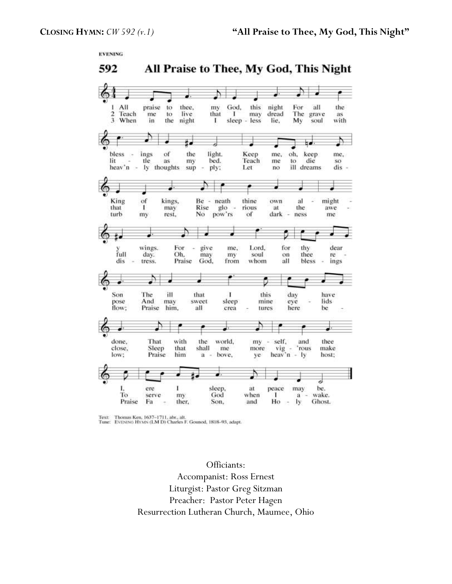**EVENING** 

All Praise to Thee, My God, This Night 592



Text: Thomas Ken, 1637-1711, abr., alt.<br>Tune: EVENING HYMN (LM D) Charles F. Gounod, 1818-93, adapt.

Officiants: Accompanist: Ross Ernest Liturgist: Pastor Greg Sitzman Preacher: Pastor Peter Hagen Resurrection Lutheran Church, Maumee, Ohio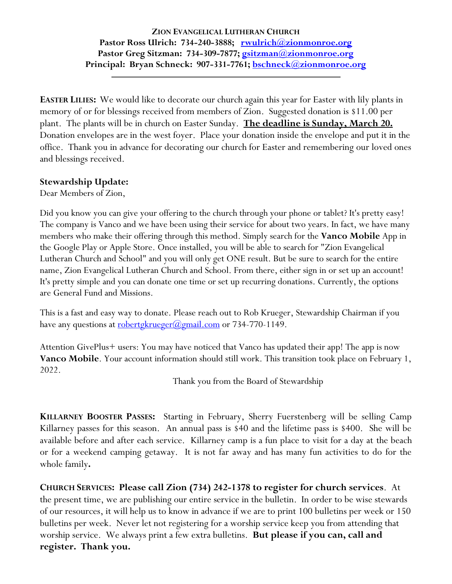# **ZION EVANGELICAL LUTHERAN CHURCH Pastor Ross Ulrich: 734-240-3888; [rwulrich@zionmonroe.org](mailto:rwulrich@zionmonroe.org) Pastor Greg Sitzman: 734-309-7877; [gsitzman@zionmonroe.org](mailto:gsitzman@zionmonroe.org) Principal: Bryan Schneck: 907-331-7761; [bschneck@zionmonroe.org](mailto:bschneck@zionmonroe.org)**

**EASTER LILIES:** We would like to decorate our church again this year for Easter with lily plants in memory of or for blessings received from members of Zion. Suggested donation is \$11.00 per plant. The plants will be in church on Easter Sunday. **The deadline is Sunday, March 20.**  Donation envelopes are in the west foyer. Place your donation inside the envelope and put it in the office. Thank you in advance for decorating our church for Easter and remembering our loved ones and blessings received.

# **Stewardship Update:**

Dear Members of Zion,

Did you know you can give your offering to the church through your phone or tablet? It's pretty easy! The company is Vanco and we have been using their service for about two years. In fact, we have many members who make their offering through this method. Simply search for the **Vanco Mobile** App in the Google Play or Apple Store. Once installed, you will be able to search for "Zion Evangelical Lutheran Church and School" and you will only get ONE result. But be sure to search for the entire name, Zion Evangelical Lutheran Church and School. From there, either sign in or set up an account! It's pretty simple and you can donate one time or set up recurring donations. Currently, the options are General Fund and Missions.

This is a fast and easy way to donate. Please reach out to Rob Krueger, Stewardship Chairman if you have any questions at [robertgkrueger@gmail.com](mailto:robertgkrueger@gmail.com) or 734-770-1149.

Attention GivePlus+ users: You may have noticed that Vanco has updated their app! The app is now **Vanco Mobile**. Your account information should still work. This transition took place on February 1, 2022.

Thank you from the Board of Stewardship

**KILLARNEY BOOSTER PASSES:** Starting in February, Sherry Fuerstenberg will be selling Camp Killarney passes for this season. An annual pass is \$40 and the lifetime pass is \$400. She will be available before and after each service. Killarney camp is a fun place to visit for a day at the beach or for a weekend camping getaway. It is not far away and has many fun activities to do for the whole family**.** 

**CHURCH SERVICES: Please call Zion (734) 242-1378 to register for church services**. At the present time, we are publishing our entire service in the bulletin. In order to be wise stewards of our resources, it will help us to know in advance if we are to print 100 bulletins per week or 150 bulletins per week. Never let not registering for a worship service keep you from attending that worship service. We always print a few extra bulletins. **But please if you can, call and register. Thank you.**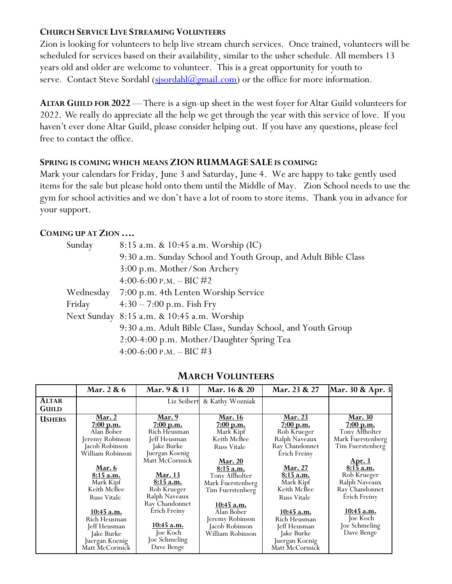# **CHURCH SERVICE LIVE STREAMING VOLUNTEERS**

Zion is looking for volunteers to help live stream church services. Once trained, volunteers will be scheduled for services based on their availability, similar to the usher schedule. All members 13 years old and older are welcome to volunteer. This is a great opportunity for youth to serve. Contact Steve Sordahl  $(s$ *jsordahl* $(a)$ *gmail.com*) or the office for more information.

**ALTAR GUILD FOR 2022** —There is a sign-up sheet in the west foyer for Altar Guild volunteers for 2022. We really do appreciate all the help we get through the year with this service of love. If you haven't ever done Altar Guild, please consider helping out. If you have any questions, please feel free to contact the office.

# **SPRING IS COMING WHICH MEANS ZION RUMMAGE SALE IS COMING:**

Mark your calendars for Friday, June 3 and Saturday, June 4. We are happy to take gently used items for the sale but please hold onto them until the Middle of May. Zion School needs to use the gym for school activities and we don't have a lot of room to store items. Thank you in advance for your support.

# **COMING UP AT ZION ….**

| Sunday    | $8:15$ a.m. & 10:45 a.m. Worship (IC)                          |  |  |  |
|-----------|----------------------------------------------------------------|--|--|--|
|           | 9:30 a.m. Sunday School and Youth Group, and Adult Bible Class |  |  |  |
|           | 3:00 p.m. Mother/Son Archery                                   |  |  |  |
|           | 4:00-6:00 P.M. - BIC #2                                        |  |  |  |
| Wednesday | 7:00 p.m. 4th Lenten Worship Service                           |  |  |  |
| Friday    | $4:30-7:00$ p.m. Fish Fry                                      |  |  |  |
|           | Next Sunday 8:15 a.m. & 10:45 a.m. Worship                     |  |  |  |
|           | 9:30 a.m. Adult Bible Class, Sunday School, and Youth Group    |  |  |  |
|           | 2:00-4:00 p.m. Mother/Daughter Spring Tea                      |  |  |  |
|           | 4:00-6:00 P.M. - BIC #3                                        |  |  |  |

|               | Mar. 2 & 6         | Mar. 9 & 13       | Mar. 16 & 20       | Mar. 23 & 27       | Mar. 30 & Apr. 3           |
|---------------|--------------------|-------------------|--------------------|--------------------|----------------------------|
| <b>ALTAR</b>  |                    | Liz Seibert       | & Kathy Wozniak    |                    |                            |
| <b>GUILD</b>  |                    |                   |                    |                    |                            |
| <b>USHERS</b> | <b>Mar. 2</b>      | <u>Mar. 9</u>     | <b>Mar. 16</b>     | <b>Mar. 23</b>     | <b>Mar.</b> 30             |
|               | 7:00 p.m.          | 7:00 p.m.         | 7:00 p.m.          | 7:00 p.m.          | 7:00 p.m.                  |
|               | Alan Bober         | Rich Heusman      | Mark Kipf          | Rob Krueger        | Tony Affholter             |
|               | Jeremy Robinson    | Jeff Heusman      | Keith McBee        | Ralph Naveaux      | Mark Fuerstenberg          |
|               | Jacob Robinson     | Jake Burke        | <b>Russ Vitale</b> | Ray Chandonnet     | Tim Fuerstenberg           |
|               | William Robinson   | Juergan Koenig    |                    | Érich Freiny       |                            |
|               |                    | Matt McCormick    | <b>Mar. 20</b>     |                    |                            |
|               | <b>Mar. 6</b>      |                   | $8:15$ a.m.        | <u>Mar. 27</u>     | <u>Apr. 3</u><br>8:15 a.m. |
|               | 8:15 a.m.          | <b>Mar. 13</b>    | Tony Affholter     | 8:15 a.m.          | Rob Krueger                |
|               | Mark Kipf          | 8:15 a.m.         | Mark Fuerstenberg  | Mark Kipf          | Ralph Naveaux              |
|               | Keith McBee        | Rob Krueger       | Tim Fuerstenberg   | Keith McBee        | Ray Chandonnet             |
|               | <b>Russ Vitale</b> | Ralph Naveaux     |                    | <b>Russ Vitale</b> | Érich Freiny               |
|               |                    | Ray Chandonnet    | <u>10:45 a.m.</u>  |                    |                            |
|               | 10:45 a.m.         | Érich Freiny      | Alan Bober         | 10:45 a.m.         | $10:45$ a.m.               |
|               | Rich Heusman       |                   | Jeremy Robinson    | Rich Heusman       | Joe Koch                   |
|               | Jeff Heusman       | <u>10:45 a.m.</u> | Jacob Robinson     | Jeff Heusman       | Joe Schmeling              |
|               | Jake Burke         | Joe Koch          | William Robinson   | Jake Burke         | Dave Benge                 |
|               | Juergan Koenig     | Joe Schmeling     |                    | Juergan Koenig     |                            |
|               | Matt McCormick     | Dave Benge        |                    | Matt McCormick     |                            |

# **MARCH VOLUNTEERS**